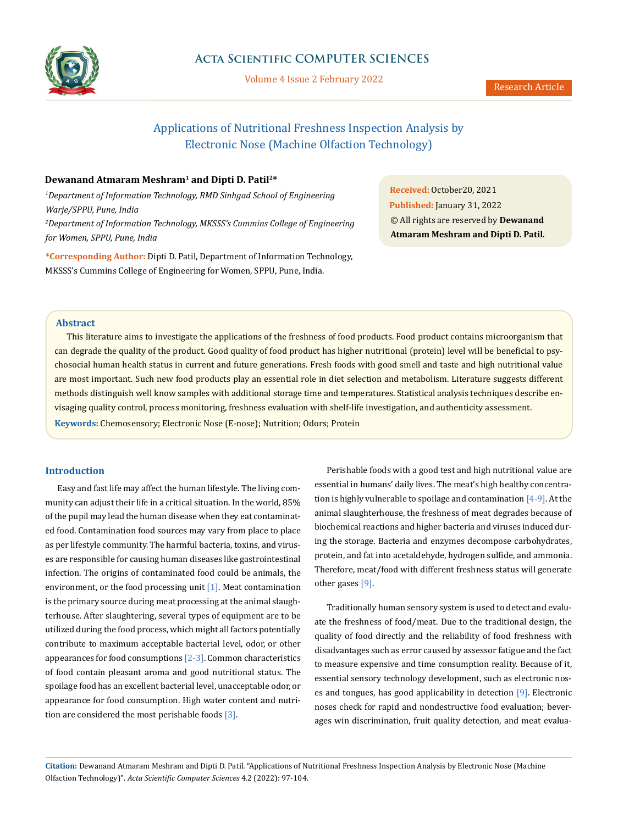

# **Acta Scientific COMPUTER SCIENCES**

Volume 4 Issue 2 February 2022

# Applications of Nutritional Freshness Inspection Analysis by Electronic Nose (Machine Olfaction Technology)

# **Dewanand Atmaram Meshram1 and Dipti D. Patil2\***

*1 Department of Information Technology, RMD Sinhgad School of Engineering Warje/SPPU, Pune, India 2 Department of Information Technology, MKSSS's Cummins College of Engineering for Women, SPPU, Pune, India*

**\*Corresponding Author:** Dipti D. Patil, Department of Information Technology, MKSSS's Cummins College of Engineering for Women, SPPU, Pune, India.

**Received:** October20, 2021 **Published:** January 31, 2022 © All rights are reserved by **Dewanand Atmaram Meshram and Dipti D. Patil***.*

### **Abstract**

This literature aims to investigate the applications of the freshness of food products. Food product contains microorganism that can degrade the quality of the product. Good quality of food product has higher nutritional (protein) level will be beneficial to psychosocial human health status in current and future generations. Fresh foods with good smell and taste and high nutritional value are most important. Such new food products play an essential role in diet selection and metabolism. Literature suggests different methods distinguish well know samples with additional storage time and temperatures. Statistical analysis techniques describe envisaging quality control, process monitoring, freshness evaluation with shelf-life investigation, and authenticity assessment. **Keywords:** Chemosensory; Electronic Nose (E-nose); Nutrition; Odors; Protein

### **Introduction**

Easy and fast life may affect the human lifestyle. The living community can adjust their life in a critical situation. In the world, 85% of the pupil may lead the human disease when they eat contaminated food. Contamination food sources may vary from place to place as per lifestyle community. The harmful bacteria, toxins, and viruses are responsible for causing human diseases like gastrointestinal infection. The origins of contaminated food could be animals, the environment, or the food processing unit [1]. Meat contamination is the primary source during meat processing at the animal slaughterhouse. After slaughtering, several types of equipment are to be utilized during the food process, which might all factors potentially contribute to maximum acceptable bacterial level, odor, or other appearances for food consumptions  $[2-3]$ . Common characteristics of food contain pleasant aroma and good nutritional status. The spoilage food has an excellent bacterial level, unacceptable odor, or appearance for food consumption. High water content and nutrition are considered the most perishable foods [3].

Perishable foods with a good test and high nutritional value are essential in humans' daily lives. The meat's high healthy concentration is highly vulnerable to spoilage and contamination  $[4-9]$ . At the animal slaughterhouse, the freshness of meat degrades because of biochemical reactions and higher bacteria and viruses induced during the storage. Bacteria and enzymes decompose carbohydrates, protein, and fat into acetaldehyde, hydrogen sulfide, and ammonia. Therefore, meat/food with different freshness status will generate other gases [9].

Traditionally human sensory system is used to detect and evaluate the freshness of food/meat. Due to the traditional design, the quality of food directly and the reliability of food freshness with disadvantages such as error caused by assessor fatigue and the fact to measure expensive and time consumption reality. Because of it, essential sensory technology development, such as electronic noses and tongues, has good applicability in detection [9]. Electronic noses check for rapid and nondestructive food evaluation; beverages win discrimination, fruit quality detection, and meat evalua-

**Citation:** Dewanand Atmaram Meshram and Dipti D. Patil*.* "Applications of Nutritional Freshness Inspection Analysis by Electronic Nose (Machine Olfaction Technology)". *Acta Scientific Computer Sciences* 4.2 (2022): 97-104.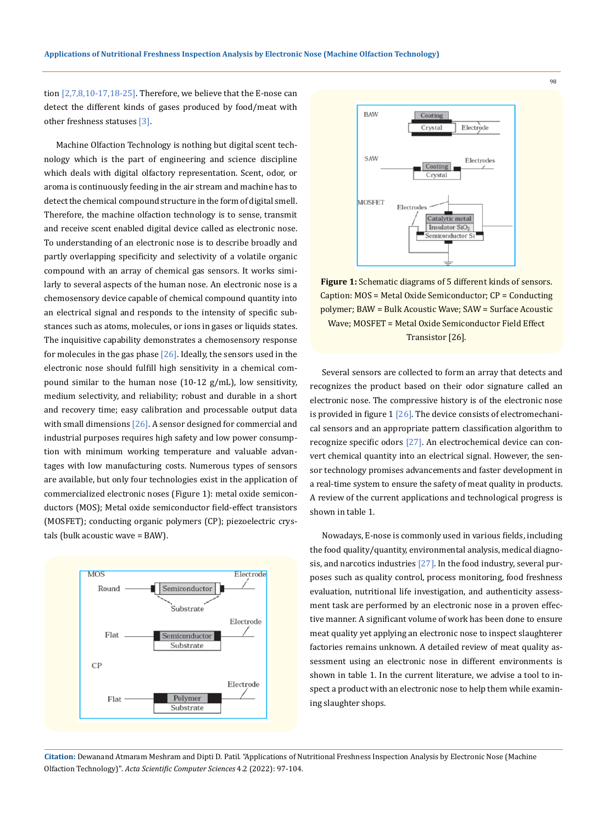tion  $[2,7,8,10-17,18-25]$ . Therefore, we believe that the E-nose can detect the different kinds of gases produced by food/meat with other freshness statuses [3].

Machine Olfaction Technology is nothing but digital scent technology which is the part of engineering and science discipline which deals with digital olfactory representation. Scent, odor, or aroma is continuously feeding in the air stream and machine has to detect the chemical compound structure in the form of digital smell. Therefore, the machine olfaction technology is to sense, transmit and receive scent enabled digital device called as electronic nose. To understanding of an electronic nose is to describe broadly and partly overlapping specificity and selectivity of a volatile organic compound with an array of chemical gas sensors. It works similarly to several aspects of the human nose. An electronic nose is a chemosensory device capable of chemical compound quantity into an electrical signal and responds to the intensity of specific substances such as atoms, molecules, or ions in gases or liquids states. The inquisitive capability demonstrates a chemosensory response for molecules in the gas phase  $[26]$ . Ideally, the sensors used in the electronic nose should fulfill high sensitivity in a chemical compound similar to the human nose (10-12 g/mL), low sensitivity, medium selectivity, and reliability; robust and durable in a short and recovery time; easy calibration and processable output data with small dimensions  $[26]$ . A sensor designed for commercial and industrial purposes requires high safety and low power consumption with minimum working temperature and valuable advantages with low manufacturing costs. Numerous types of sensors are available, but only four technologies exist in the application of commercialized electronic noses (Figure 1): metal oxide semiconductors (MOS); Metal oxide semiconductor field-effect transistors (MOSFET); conducting organic polymers (CP); piezoelectric crystals (bulk acoustic wave = BAW).





**Figure 1:** Schematic diagrams of 5 different kinds of sensors. Caption: MOS = Metal Oxide Semiconductor; CP = Conducting polymer; BAW = Bulk Acoustic Wave; SAW = Surface Acoustic Wave; MOSFET = Metal Oxide Semiconductor Field Effect Transistor [26].

Several sensors are collected to form an array that detects and recognizes the product based on their odor signature called an electronic nose. The compressive history is of the electronic nose is provided in figure 1  $[26]$ . The device consists of electromechanical sensors and an appropriate pattern classification algorithm to recognize specific odors [27]. An electrochemical device can convert chemical quantity into an electrical signal. However, the sensor technology promises advancements and faster development in a real-time system to ensure the safety of meat quality in products. A review of the current applications and technological progress is shown in table 1.

Nowadays, E-nose is commonly used in various fields, including the food quality/quantity, environmental analysis, medical diagnosis, and narcotics industries  $[27]$ . In the food industry, several purposes such as quality control, process monitoring, food freshness evaluation, nutritional life investigation, and authenticity assessment task are performed by an electronic nose in a proven effective manner. A significant volume of work has been done to ensure meat quality yet applying an electronic nose to inspect slaughterer factories remains unknown. A detailed review of meat quality assessment using an electronic nose in different environments is shown in table 1. In the current literature, we advise a tool to inspect a product with an electronic nose to help them while examining slaughter shops.

**Citation:** Dewanand Atmaram Meshram and Dipti D. Patil*.* "Applications of Nutritional Freshness Inspection Analysis by Electronic Nose (Machine Olfaction Technology)". *Acta Scientific Computer Sciences* 4.2 (2022): 97-104.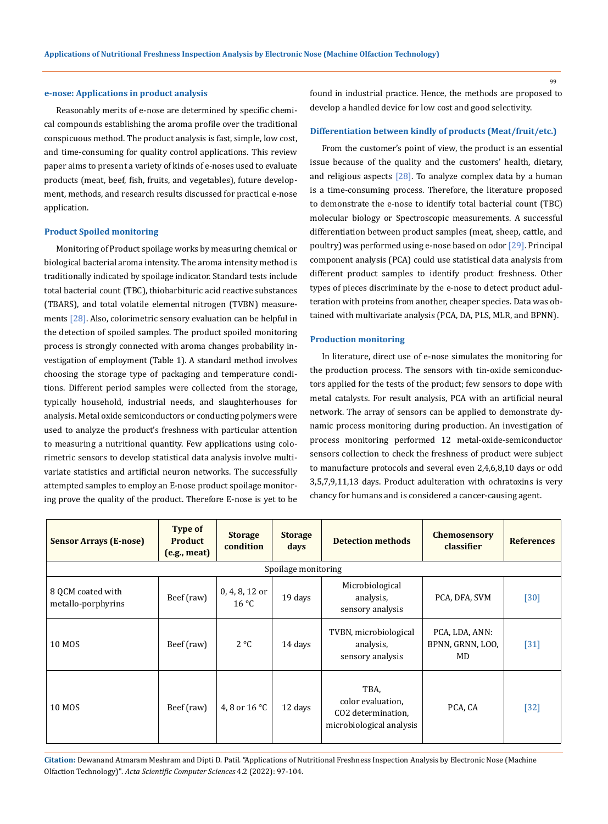#### **e-nose: Applications in product analysis**

Reasonably merits of e-nose are determined by specific chemical compounds establishing the aroma profile over the traditional conspicuous method. The product analysis is fast, simple, low cost, and time-consuming for quality control applications. This review paper aims to present a variety of kinds of e-noses used to evaluate products (meat, beef, fish, fruits, and vegetables), future development, methods, and research results discussed for practical e-nose application.

#### **Product Spoiled monitoring**

Monitoring of Product spoilage works by measuring chemical or biological bacterial aroma intensity. The aroma intensity method is traditionally indicated by spoilage indicator. Standard tests include total bacterial count (TBC), thiobarbituric acid reactive substances (TBARS), and total volatile elemental nitrogen (TVBN) measurements [28]. Also, colorimetric sensory evaluation can be helpful in the detection of spoiled samples. The product spoiled monitoring process is strongly connected with aroma changes probability investigation of employment (Table 1). A standard method involves choosing the storage type of packaging and temperature conditions. Different period samples were collected from the storage, typically household, industrial needs, and slaughterhouses for analysis. Metal oxide semiconductors or conducting polymers were used to analyze the product's freshness with particular attention to measuring a nutritional quantity. Few applications using colorimetric sensors to develop statistical data analysis involve multivariate statistics and artificial neuron networks. The successfully attempted samples to employ an E-nose product spoilage monitoring prove the quality of the product. Therefore E-nose is yet to be found in industrial practice. Hence, the methods are proposed to develop a handled device for low cost and good selectivity.

#### **Differentiation between kindly of products (Meat/fruit/etc.)**

From the customer's point of view, the product is an essential issue because of the quality and the customers' health, dietary, and religious aspects  $[28]$ . To analyze complex data by a human is a time-consuming process. Therefore, the literature proposed to demonstrate the e-nose to identify total bacterial count (TBC) molecular biology or Spectroscopic measurements. A successful differentiation between product samples (meat, sheep, cattle, and poultry) was performed using e-nose based on odor [29]. Principal component analysis (PCA) could use statistical data analysis from different product samples to identify product freshness. Other types of pieces discriminate by the e-nose to detect product adulteration with proteins from another, cheaper species. Data was obtained with multivariate analysis (PCA, DA, PLS, MLR, and BPNN).

#### **Production monitoring**

In literature, direct use of e-nose simulates the monitoring for the production process. The sensors with tin-oxide semiconductors applied for the tests of the product; few sensors to dope with metal catalysts. For result analysis, PCA with an artificial neural network. The array of sensors can be applied to demonstrate dynamic process monitoring during production. An investigation of process monitoring performed 12 metal-oxide-semiconductor sensors collection to check the freshness of product were subject to manufacture protocols and several even 2,4,6,8,10 days or odd 3,5,7,9,11,13 days. Product adulteration with ochratoxins is very chancy for humans and is considered a cancer-causing agent.

| <b>Sensor Arrays (E-nose)</b>           | <b>Type of</b><br><b>Product</b><br>(e.g., meat) | <b>Storage</b><br>condition      | <b>Storage</b><br>days | <b>Detection methods</b>                                                    | <b>Chemosensory</b><br>classifier        | <b>References</b> |  |  |  |  |  |
|-----------------------------------------|--------------------------------------------------|----------------------------------|------------------------|-----------------------------------------------------------------------------|------------------------------------------|-------------------|--|--|--|--|--|
| Spoilage monitoring                     |                                                  |                                  |                        |                                                                             |                                          |                   |  |  |  |  |  |
| 8 QCM coated with<br>metallo-porphyrins | Beef (raw)                                       | 0, 4, 8, 12 or<br>$16^{\circ}$ C | 19 days                | Microbiological<br>analysis,<br>sensory analysis                            | PCA, DFA, SVM                            | $[30]$            |  |  |  |  |  |
| <b>10 MOS</b>                           | Beef (raw)                                       | $2^{\circ}C$                     | 14 days                | TVBN, microbiological<br>analysis,<br>sensory analysis                      | PCA, LDA, ANN:<br>BPNN, GRNN, LOO,<br>MD | $[31]$            |  |  |  |  |  |
| 10 MOS                                  | Beef (raw)                                       | 4, 8 or 16 °C                    | 12 days                | TBA,<br>color evaluation.<br>CO2 determination,<br>microbiological analysis | PCA, CA                                  | $[32]$            |  |  |  |  |  |

**Citation:** Dewanand Atmaram Meshram and Dipti D. Patil*.* "Applications of Nutritional Freshness Inspection Analysis by Electronic Nose (Machine Olfaction Technology)". *Acta Scientific Computer Sciences* 4.2 (2022): 97-104.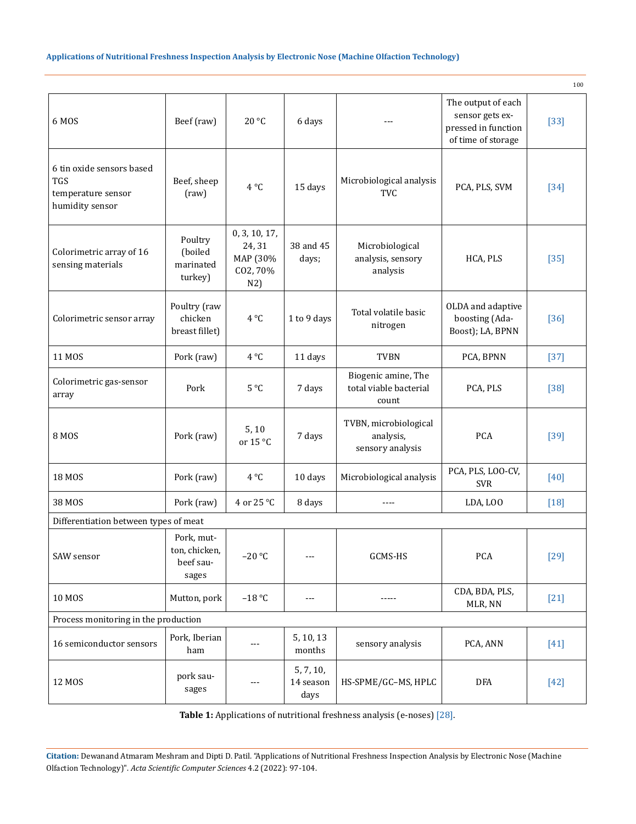| 6 MOS                                                                            | Beef (raw)                                        | 20 °C                                                  | 6 days                         | $---$                                                  | The output of each<br>sensor gets ex-<br>pressed in function<br>of time of storage | $[33]$ |  |  |  |  |
|----------------------------------------------------------------------------------|---------------------------------------------------|--------------------------------------------------------|--------------------------------|--------------------------------------------------------|------------------------------------------------------------------------------------|--------|--|--|--|--|
| 6 tin oxide sensors based<br><b>TGS</b><br>temperature sensor<br>humidity sensor | Beef, sheep<br>(raw)                              | $4^{\circ}C$                                           | 15 days                        | Microbiological analysis<br><b>TVC</b>                 | PCA, PLS, SVM                                                                      | $[34]$ |  |  |  |  |
| Colorimetric array of 16<br>sensing materials                                    | Poultry<br>(boiled<br>marinated<br>turkey)        | 0, 3, 10, 17,<br>24, 31<br>MAP (30%<br>CO2, 70%<br>N2) | 38 and 45<br>days;             | Microbiological<br>analysis, sensory<br>analysis       | HCA, PLS                                                                           | $[35]$ |  |  |  |  |
| Colorimetric sensor array                                                        | Poultry (raw<br>chicken<br>breast fillet)         | 4 °C                                                   | 1 to 9 days                    | Total volatile basic<br>nitrogen                       | OLDA and adaptive<br>boosting (Ada-<br>Boost); LA, BPNN                            | $[36]$ |  |  |  |  |
| 11 MOS                                                                           | Pork (raw)                                        | $4^{\circ}C$                                           | 11 days                        | <b>TVBN</b>                                            | PCA, BPNN                                                                          | $[37]$ |  |  |  |  |
| Colorimetric gas-sensor<br>array                                                 | Pork                                              | 5°C                                                    | 7 days                         | Biogenic amine, The<br>total viable bacterial<br>count | PCA, PLS                                                                           | $[38]$ |  |  |  |  |
| <b>8 MOS</b>                                                                     | Pork (raw)                                        | 5, 10<br>or 15 °C                                      | 7 days                         | TVBN, microbiological<br>analysis,<br>sensory analysis | <b>PCA</b>                                                                         | $[39]$ |  |  |  |  |
| 18 MOS                                                                           | Pork (raw)                                        | $4^{\circ}C$                                           | 10 days                        | Microbiological analysis                               | PCA, PLS, LOO-CV,<br><b>SVR</b>                                                    | $[40]$ |  |  |  |  |
| 38 MOS                                                                           | Pork (raw)                                        | 4 or 25 °C                                             | 8 days                         | ----                                                   | LDA, LOO                                                                           | $[18]$ |  |  |  |  |
| Differentiation between types of meat                                            |                                                   |                                                        |                                |                                                        |                                                                                    |        |  |  |  |  |
| SAW sensor                                                                       | Pork, mut-<br>ton, chicken,<br>beef sau-<br>sages | $-20$ °C                                               | $\qquad \qquad - -$            | GCMS-HS                                                | PCA                                                                                | $[29]$ |  |  |  |  |
| <b>10 MOS</b>                                                                    | Mutton, pork                                      | $-18 °C$                                               | $---$                          |                                                        | CDA, BDA, PLS,<br>MLR, NN                                                          | $[21]$ |  |  |  |  |
| Process monitoring in the production                                             |                                                   |                                                        |                                |                                                        |                                                                                    |        |  |  |  |  |
| 16 semiconductor sensors                                                         | Pork, Iberian<br>ham                              |                                                        | 5, 10, 13<br>months            | sensory analysis                                       | PCA, ANN                                                                           | $[41]$ |  |  |  |  |
| 12 MOS                                                                           | pork sau-<br>sages                                | $---$                                                  | 5, 7, 10,<br>14 season<br>days | HS-SPME/GC-MS, HPLC                                    | DFA                                                                                | $[42]$ |  |  |  |  |

 $100$ 

**Table 1:** Applications of nutritional freshness analysis (e-noses) [28].

**Citation:** Dewanand Atmaram Meshram and Dipti D. Patil*.* "Applications of Nutritional Freshness Inspection Analysis by Electronic Nose (Machine Olfaction Technology)". *Acta Scientific Computer Sciences* 4.2 (2022): 97-104.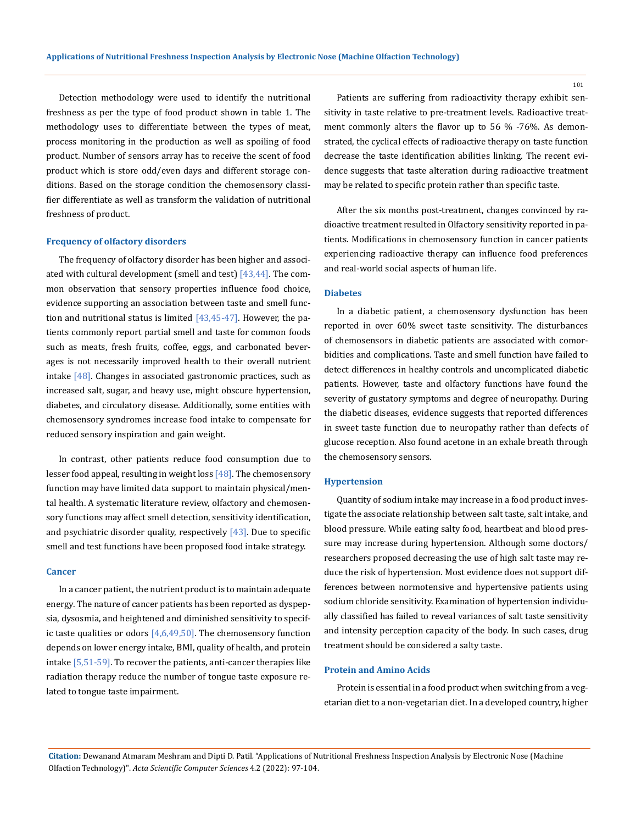Detection methodology were used to identify the nutritional freshness as per the type of food product shown in table 1. The methodology uses to differentiate between the types of meat, process monitoring in the production as well as spoiling of food product. Number of sensors array has to receive the scent of food product which is store odd/even days and different storage conditions. Based on the storage condition the chemosensory classifier differentiate as well as transform the validation of nutritional freshness of product.

#### **Frequency of olfactory disorders**

The frequency of olfactory disorder has been higher and associated with cultural development (smell and test)  $[43,44]$ . The common observation that sensory properties influence food choice, evidence supporting an association between taste and smell function and nutritional status is limited  $[43, 45-47]$ . However, the patients commonly report partial smell and taste for common foods such as meats, fresh fruits, coffee, eggs, and carbonated beverages is not necessarily improved health to their overall nutrient intake  $[48]$ . Changes in associated gastronomic practices, such as increased salt, sugar, and heavy use, might obscure hypertension, diabetes, and circulatory disease. Additionally, some entities with chemosensory syndromes increase food intake to compensate for reduced sensory inspiration and gain weight.

In contrast, other patients reduce food consumption due to lesser food appeal, resulting in weight loss [48]. The chemosensory function may have limited data support to maintain physical/mental health. A systematic literature review, olfactory and chemosensory functions may affect smell detection, sensitivity identification, and psychiatric disorder quality, respectively  $[43]$ . Due to specific smell and test functions have been proposed food intake strategy.

#### **Cancer**

In a cancer patient, the nutrient product is to maintain adequate energy. The nature of cancer patients has been reported as dyspepsia, dysosmia, and heightened and diminished sensitivity to specific taste qualities or odors  $[4,6,49,50]$ . The chemosensory function depends on lower energy intake, BMI, quality of health, and protein intake [5,51-59]. To recover the patients, anti-cancer therapies like radiation therapy reduce the number of tongue taste exposure related to tongue taste impairment.

Patients are suffering from radioactivity therapy exhibit sensitivity in taste relative to pre-treatment levels. Radioactive treatment commonly alters the flavor up to 56 % -76%. As demonstrated, the cyclical effects of radioactive therapy on taste function decrease the taste identification abilities linking. The recent evidence suggests that taste alteration during radioactive treatment may be related to specific protein rather than specific taste.

After the six months post-treatment, changes convinced by radioactive treatment resulted in Olfactory sensitivity reported in patients. Modifications in chemosensory function in cancer patients experiencing radioactive therapy can influence food preferences and real-world social aspects of human life.

#### **Diabetes**

In a diabetic patient, a chemosensory dysfunction has been reported in over 60% sweet taste sensitivity. The disturbances of chemosensors in diabetic patients are associated with comorbidities and complications. Taste and smell function have failed to detect differences in healthy controls and uncomplicated diabetic patients. However, taste and olfactory functions have found the severity of gustatory symptoms and degree of neuropathy. During the diabetic diseases, evidence suggests that reported differences in sweet taste function due to neuropathy rather than defects of glucose reception. Also found acetone in an exhale breath through the chemosensory sensors.

#### **Hypertension**

Quantity of sodium intake may increase in a food product investigate the associate relationship between salt taste, salt intake, and blood pressure. While eating salty food, heartbeat and blood pressure may increase during hypertension. Although some doctors/ researchers proposed decreasing the use of high salt taste may reduce the risk of hypertension. Most evidence does not support differences between normotensive and hypertensive patients using sodium chloride sensitivity. Examination of hypertension individually classified has failed to reveal variances of salt taste sensitivity and intensity perception capacity of the body. In such cases, drug treatment should be considered a salty taste.

#### **Protein and Amino Acids**

Protein is essential in a food product when switching from a vegetarian diet to a non-vegetarian diet. In a developed country, higher

**Citation:** Dewanand Atmaram Meshram and Dipti D. Patil*.* "Applications of Nutritional Freshness Inspection Analysis by Electronic Nose (Machine Olfaction Technology)". *Acta Scientific Computer Sciences* 4.2 (2022): 97-104.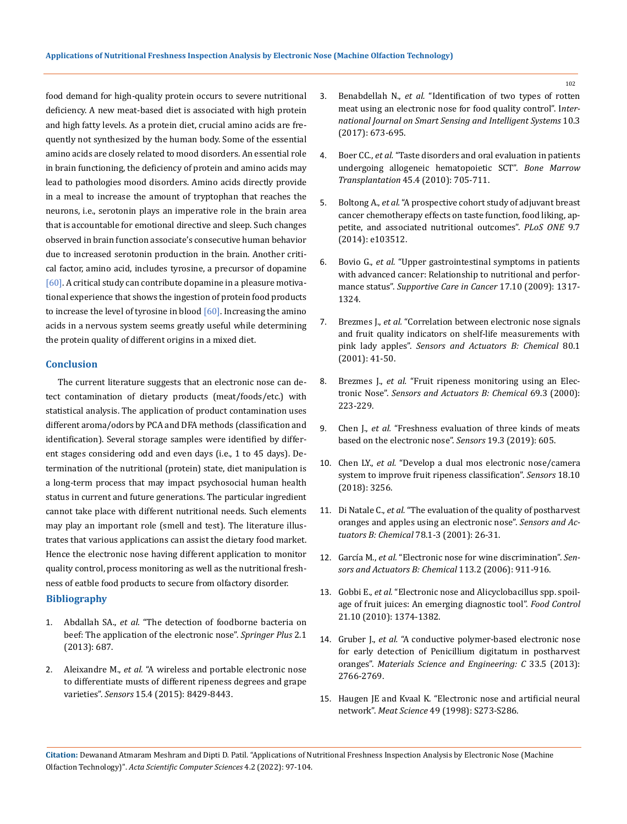food demand for high-quality protein occurs to severe nutritional deficiency. A new meat-based diet is associated with high protein and high fatty levels. As a protein diet, crucial amino acids are frequently not synthesized by the human body. Some of the essential amino acids are closely related to mood disorders. An essential role in brain functioning, the deficiency of protein and amino acids may lead to pathologies mood disorders. Amino acids directly provide in a meal to increase the amount of tryptophan that reaches the neurons, i.e., serotonin plays an imperative role in the brain area that is accountable for emotional directive and sleep. Such changes observed in brain function associate's consecutive human behavior due to increased serotonin production in the brain. Another critical factor, amino acid, includes tyrosine, a precursor of dopamine [60]. A critical study can contribute dopamine in a pleasure motivational experience that shows the ingestion of protein food products to increase the level of tyrosine in blood  $[60]$ . Increasing the amino acids in a nervous system seems greatly useful while determining the protein quality of different origins in a mixed diet.

#### **Conclusion**

The current literature suggests that an electronic nose can detect contamination of dietary products (meat/foods/etc.) with statistical analysis. The application of product contamination uses different aroma/odors by PCA and DFA methods (classification and identification). Several storage samples were identified by different stages considering odd and even days (i.e., 1 to 45 days). Determination of the nutritional (protein) state, diet manipulation is a long-term process that may impact psychosocial human health status in current and future generations. The particular ingredient cannot take place with different nutritional needs. Such elements may play an important role (smell and test). The literature illustrates that various applications can assist the dietary food market. Hence the electronic nose having different application to monitor quality control, process monitoring as well as the nutritional freshness of eatble food products to secure from olfactory disorder.

## **Bibliography**

- 1. Abdallah SA., *et al.* ["The detection of foodborne bacteria on](https://springerplus.springeropen.com/articles/10.1186/2193-1801-2-687)  [beef: The application of the electronic nose".](https://springerplus.springeropen.com/articles/10.1186/2193-1801-2-687) *Springer Plus* 2.1 [\(2013\): 687.](https://springerplus.springeropen.com/articles/10.1186/2193-1801-2-687)
- 2. Aleixandre M., *et al.* ["A wireless and portable electronic nose](https://www.google.com/search?client=firefox-b-d&q=english+translation)  [to differentiate musts of different ripeness degrees and grape](https://www.google.com/search?client=firefox-b-d&q=english+translation)  varieties". *Sensors* [15.4 \(2015\): 8429-8443.](https://www.google.com/search?client=firefox-b-d&q=english+translation)
- 3. Benabdellah N., *et al.* ["Identification of two types of rotten](https://web.s.ebscohost.com/abstract?direct=true&profile=ehost&scope=site&authtype=crawler&jrnl=11785608&AN=124742660&h=A0gaMIUoXmMQoxhOQ%2f4UiX3GMyejlRhFVBNM0Ukr%2bvrqDTNwh%2bviSFScDZU2l7nQiNMK%2blLiuOAf%2ffTWK4IHpg%3d%3d&crl=c&resultNs=AdminWebAuth&resultLocal=ErrCrlNotAuth&crlhashurl=login.aspx%3fdirect%3dtrue%26profile%3dehost%26scope%3dsite%26authtype%3dcrawler%26jrnl%3d11785608%26AN%3d124742660)  [meat using an electronic nose for food quality control". I](https://web.s.ebscohost.com/abstract?direct=true&profile=ehost&scope=site&authtype=crawler&jrnl=11785608&AN=124742660&h=A0gaMIUoXmMQoxhOQ%2f4UiX3GMyejlRhFVBNM0Ukr%2bvrqDTNwh%2bviSFScDZU2l7nQiNMK%2blLiuOAf%2ffTWK4IHpg%3d%3d&crl=c&resultNs=AdminWebAuth&resultLocal=ErrCrlNotAuth&crlhashurl=login.aspx%3fdirect%3dtrue%26profile%3dehost%26scope%3dsite%26authtype%3dcrawler%26jrnl%3d11785608%26AN%3d124742660)*nter[national Journal on Smart Sensing and Intelligent Systems](https://web.s.ebscohost.com/abstract?direct=true&profile=ehost&scope=site&authtype=crawler&jrnl=11785608&AN=124742660&h=A0gaMIUoXmMQoxhOQ%2f4UiX3GMyejlRhFVBNM0Ukr%2bvrqDTNwh%2bviSFScDZU2l7nQiNMK%2blLiuOAf%2ffTWK4IHpg%3d%3d&crl=c&resultNs=AdminWebAuth&resultLocal=ErrCrlNotAuth&crlhashurl=login.aspx%3fdirect%3dtrue%26profile%3dehost%26scope%3dsite%26authtype%3dcrawler%26jrnl%3d11785608%26AN%3d124742660)* 10.3 [\(2017\): 673-695.](https://web.s.ebscohost.com/abstract?direct=true&profile=ehost&scope=site&authtype=crawler&jrnl=11785608&AN=124742660&h=A0gaMIUoXmMQoxhOQ%2f4UiX3GMyejlRhFVBNM0Ukr%2bvrqDTNwh%2bviSFScDZU2l7nQiNMK%2blLiuOAf%2ffTWK4IHpg%3d%3d&crl=c&resultNs=AdminWebAuth&resultLocal=ErrCrlNotAuth&crlhashurl=login.aspx%3fdirect%3dtrue%26profile%3dehost%26scope%3dsite%26authtype%3dcrawler%26jrnl%3d11785608%26AN%3d124742660)
- 4. Boer CC., *et al.* ["Taste disorders and oral evaluation in patients](https://www.nature.com/articles/bmt2009237)  [undergoing allogeneic hematopoietic SCT".](https://www.nature.com/articles/bmt2009237) *Bone Marrow Transplantation* [45.4 \(2010\): 705-711.](https://www.nature.com/articles/bmt2009237)
- 5. Boltong A., *et al.* ["A prospective cohort study of adjuvant breast](https://journals.plos.org/plosone/article?id=10.1371/journal.pone.0103512)  [cancer chemotherapy effects on taste function, food liking, ap](https://journals.plos.org/plosone/article?id=10.1371/journal.pone.0103512)[petite, and associated nutritional outcomes".](https://journals.plos.org/plosone/article?id=10.1371/journal.pone.0103512) *PLoS ONE* 9.7 [\(2014\): e103512.](https://journals.plos.org/plosone/article?id=10.1371/journal.pone.0103512)
- 6. Bovio G., *et al.* ["Upper gastrointestinal symptoms in patients](https://pubmed.ncbi.nlm.nih.gov/19199106/)  [with advanced cancer: Relationship to nutritional and perfor](https://pubmed.ncbi.nlm.nih.gov/19199106/)mance status". *[Supportive Care in Cancer](https://pubmed.ncbi.nlm.nih.gov/19199106/)* 17.10 (2009): 1317- [1324.](https://pubmed.ncbi.nlm.nih.gov/19199106/)
- 7. Brezmes J., *et al.* ["Correlation between electronic nose signals](https://www.researchgate.net/publication/223582318_Correlation_between_electronic_nose_signals_and_fruit_quality_indicators_on_shelf-life_measurements_with_pinklady_apples)  [and fruit quality indicators on shelf-life measurements with](https://www.researchgate.net/publication/223582318_Correlation_between_electronic_nose_signals_and_fruit_quality_indicators_on_shelf-life_measurements_with_pinklady_apples)  pink lady apples". *[Sensors and Actuators B: Chemical](https://www.researchgate.net/publication/223582318_Correlation_between_electronic_nose_signals_and_fruit_quality_indicators_on_shelf-life_measurements_with_pinklady_apples)* 80.1 [\(2001\): 41-50.](https://www.researchgate.net/publication/223582318_Correlation_between_electronic_nose_signals_and_fruit_quality_indicators_on_shelf-life_measurements_with_pinklady_apples)
- 8. Brezmes J., *et al.* ["Fruit ripeness monitoring using an Elec](https://www.sciencedirect.com/science/article/abs/pii/S0925400500004949)tronic Nose". *[Sensors and Actuators B: Chemical](https://www.sciencedirect.com/science/article/abs/pii/S0925400500004949)* 69.3 (2000): [223-229.](https://www.sciencedirect.com/science/article/abs/pii/S0925400500004949)
- 9. Chen J., *et al.* ["Freshness evaluation of three kinds of meats](https://www.mdpi.com/1424-8220/19/3/605)  [based on the electronic nose".](https://www.mdpi.com/1424-8220/19/3/605) *Sensors* 19.3 (2019): 605.
- 10. Chen LY., *et al.* ["Develop a dual mos electronic nose/camera](https://www.ncbi.nlm.nih.gov/pmc/articles/PMC6210299/)  [system to improve fruit ripeness classification".](https://www.ncbi.nlm.nih.gov/pmc/articles/PMC6210299/) *Sensors* 18.10 [\(2018\): 3256.](https://www.ncbi.nlm.nih.gov/pmc/articles/PMC6210299/)
- 11. Di Natale C., *et al.* ["The evaluation of the quality of postharvest](https://www.sciencedirect.com/science/article/abs/pii/S0925400501007870)  [oranges and apples using an electronic nose".](https://www.sciencedirect.com/science/article/abs/pii/S0925400501007870) *Sensors and Ac[tuators B: Chemical](https://www.sciencedirect.com/science/article/abs/pii/S0925400501007870)* 78.1-3 (2001): 26-31.
- 12. García M., *et al.* ["Electronic nose for wine discrimination".](https://www.researchgate.net/publication/222331623_Electronic_Nose_for_Wine_Discrimination) *Sen[sors and Actuators B: Chemical](https://www.researchgate.net/publication/222331623_Electronic_Nose_for_Wine_Discrimination)* 113.2 (2006): 911-916.
- 13. Gobbi E., *et al.* ["Electronic nose and Alicyclobacillus spp. spoil](https://www.researchgate.net/publication/221942455_Electronic_nose_and_Alicyclobacillus_spp_spoilage_of_fruit_juices_An_emerging_diagnostic_tool)[age of fruit juices: An emerging diagnostic tool".](https://www.researchgate.net/publication/221942455_Electronic_nose_and_Alicyclobacillus_spp_spoilage_of_fruit_juices_An_emerging_diagnostic_tool) *Food Control*  [21.10 \(2010\): 1374-1382.](https://www.researchgate.net/publication/221942455_Electronic_nose_and_Alicyclobacillus_spp_spoilage_of_fruit_juices_An_emerging_diagnostic_tool)
- 14. Gruber J., *et al.* ["A conductive polymer-based electronic nose](https://pubmed.ncbi.nlm.nih.gov/23623094/)  [for early detection of Penicillium digitatum in postharvest](https://pubmed.ncbi.nlm.nih.gov/23623094/)  oranges". *[Materials Science and Engineering: C](https://pubmed.ncbi.nlm.nih.gov/23623094/)* 33.5 (2013): [2766-2769.](https://pubmed.ncbi.nlm.nih.gov/23623094/)
- 15. [Haugen JE and Kvaal K. "Electronic nose and artificial neural](https://www.sciencedirect.com/science/article/abs/pii/S0309174098900547)  network". *Meat Science* [49 \(1998\): S273-S286.](https://www.sciencedirect.com/science/article/abs/pii/S0309174098900547)

**Citation:** Dewanand Atmaram Meshram and Dipti D. Patil*.* "Applications of Nutritional Freshness Inspection Analysis by Electronic Nose (Machine Olfaction Technology)". *Acta Scientific Computer Sciences* 4.2 (2022): 97-104.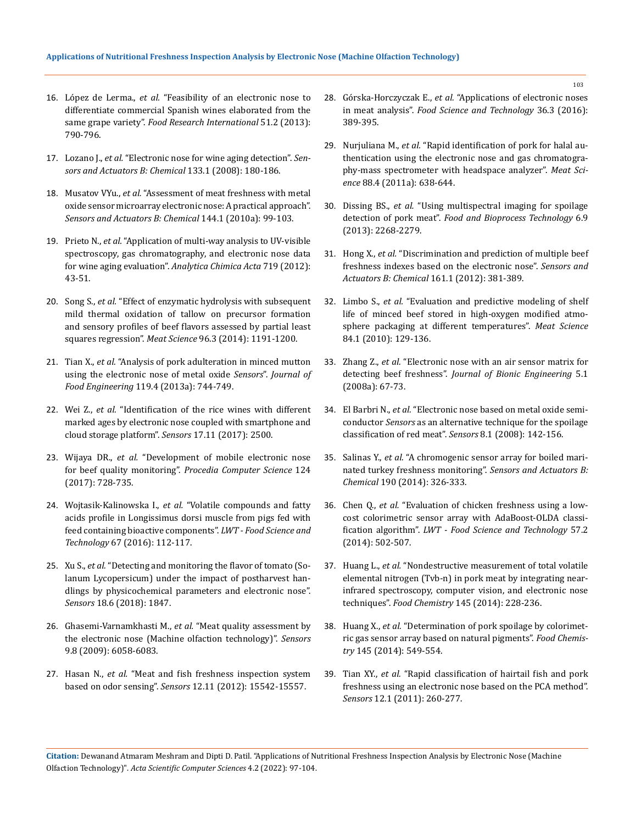- 16. López de Lerma., *et al.* ["Feasibility of an electronic nose to](https://www.infona.pl/resource/bwmeta1.element.elsevier-7da959b8-cb92-3b97-a73d-f16c8e8fbaec)  [differentiate commercial Spanish wines elaborated from the](https://www.infona.pl/resource/bwmeta1.element.elsevier-7da959b8-cb92-3b97-a73d-f16c8e8fbaec)  same grape variety". *[Food Research International](https://www.infona.pl/resource/bwmeta1.element.elsevier-7da959b8-cb92-3b97-a73d-f16c8e8fbaec)* 51.2 (2013): [790-796.](https://www.infona.pl/resource/bwmeta1.element.elsevier-7da959b8-cb92-3b97-a73d-f16c8e8fbaec)
- 17. Lozano J., *et al.* ["Electronic nose for wine aging detection".](https://www.researchgate.net/publication/223254894_Electronic_nose_for_wine_aging_detection) *Sen[sors and Actuators B: Chemical](https://www.researchgate.net/publication/223254894_Electronic_nose_for_wine_aging_detection)* 133.1 (2008): 180-186.
- 18. Musatov VYu., *et al.* ["Assessment of meat freshness with metal](https://www.researchgate.net/publication/257353764_Assessment_of_meat_freshness_with_metal_oxide_sensor_microarray_electronic_nose_A_practical_approach)  [oxide sensor microarray electronic nose: A practical approach".](https://www.researchgate.net/publication/257353764_Assessment_of_meat_freshness_with_metal_oxide_sensor_microarray_electronic_nose_A_practical_approach)  *[Sensors and Actuators B: Chemical](https://www.researchgate.net/publication/257353764_Assessment_of_meat_freshness_with_metal_oxide_sensor_microarray_electronic_nose_A_practical_approach)* 144.1 (2010a): 99-103.
- 19. Prieto N., *et al.* ["Application of multi-way analysis to UV-visible](https://pubmed.ncbi.nlm.nih.gov/22340529/)  [spectroscopy, gas chromatography, and electronic nose data](https://pubmed.ncbi.nlm.nih.gov/22340529/)  for wine aging evaluation". *[Analytica Chimica Acta](https://pubmed.ncbi.nlm.nih.gov/22340529/)* 719 (2012): [43-51.](https://pubmed.ncbi.nlm.nih.gov/22340529/)
- 20. Song S., *et al.* ["Effect of enzymatic hydrolysis with subsequent](https://pubmed.ncbi.nlm.nih.gov/24334040/)  [mild thermal oxidation of tallow on precursor formation](https://pubmed.ncbi.nlm.nih.gov/24334040/)  [and sensory profiles of beef flavors assessed by partial least](https://pubmed.ncbi.nlm.nih.gov/24334040/)  squares regression". *Meat Science* [96.3 \(2014\): 1191-1200.](https://pubmed.ncbi.nlm.nih.gov/24334040/)
- 21. Tian X., *et al.* ["Analysis of pork adulteration in minced mutton](https://www.researchgate.net/publication/273816902_Analysis_of_pork_adulteration_in_minced_mutton_using_electronic_nose_of_metal_oxide_sensors)  [using the electronic nose of metal oxide](https://www.researchgate.net/publication/273816902_Analysis_of_pork_adulteration_in_minced_mutton_using_electronic_nose_of_metal_oxide_sensors) *Sensors*". *Journal of Food Engineering* [119.4 \(2013a\): 744-749.](https://www.researchgate.net/publication/273816902_Analysis_of_pork_adulteration_in_minced_mutton_using_electronic_nose_of_metal_oxide_sensors)
- 22. Wei Z., *et al.* ["Identification of the rice wines with different](https://www.ncbi.nlm.nih.gov/pmc/articles/PMC5712832/)  [marked ages by electronic nose coupled with smartphone and](https://www.ncbi.nlm.nih.gov/pmc/articles/PMC5712832/)  [cloud storage platform".](https://www.ncbi.nlm.nih.gov/pmc/articles/PMC5712832/) *Sensors* 17.11 (2017): 2500.
- 23. Wijaya DR., *et al.* ["Development of mobile electronic nose](https://www.researchgate.net/publication/322072876_Development_of_mobile_electronic_nose_for_beef_quality_monitoring)  for beef quality monitoring". *[Procedia Computer Science](https://www.researchgate.net/publication/322072876_Development_of_mobile_electronic_nose_for_beef_quality_monitoring)* 124 [\(2017\): 728-735.](https://www.researchgate.net/publication/322072876_Development_of_mobile_electronic_nose_for_beef_quality_monitoring)
- 24. Wojtasik-Kalinowska I., *et al.* ["Volatile compounds and fatty](https://www.researchgate.net/publication/285549341_Volatile_compounds_and_fatty_acids_profile_in_Longissimus_Dorsi_muscle_from_pigs_fed_with_feed_containing_bioactive_components)  [acids profile in Longissimus dorsi muscle from pigs fed with](https://www.researchgate.net/publication/285549341_Volatile_compounds_and_fatty_acids_profile_in_Longissimus_Dorsi_muscle_from_pigs_fed_with_feed_containing_bioactive_components)  [feed containing bioactive components".](https://www.researchgate.net/publication/285549341_Volatile_compounds_and_fatty_acids_profile_in_Longissimus_Dorsi_muscle_from_pigs_fed_with_feed_containing_bioactive_components) *LWT - Food Science and Technology* [67 \(2016\): 112-117.](https://www.researchgate.net/publication/285549341_Volatile_compounds_and_fatty_acids_profile_in_Longissimus_Dorsi_muscle_from_pigs_fed_with_feed_containing_bioactive_components)
- 25. Xu S., *et al.* ["Detecting and monitoring the flavor of tomato \(So](https://pubmed.ncbi.nlm.nih.gov/29882769/)[lanum Lycopersicum\) under the impact of postharvest han](https://pubmed.ncbi.nlm.nih.gov/29882769/)[dlings by physicochemical parameters and electronic nose".](https://pubmed.ncbi.nlm.nih.gov/29882769/)  *Sensors* [18.6 \(2018\): 1847.](https://pubmed.ncbi.nlm.nih.gov/29882769/)
- 26. Ghasemi-Varnamkhasti M., *et al.* ["Meat quality assessment by](https://pubmed.ncbi.nlm.nih.gov/22454572/)  [the electronic nose \(Machine olfaction technology\)".](https://pubmed.ncbi.nlm.nih.gov/22454572/) *Sensors* [9.8 \(2009\): 6058-6083.](https://pubmed.ncbi.nlm.nih.gov/22454572/)
- 27. Hasan N., *et al.* ["Meat and fish freshness inspection system](https://www.mdpi.com/1424-8220/12/11/15542)  based on odor sensing". *Sensors* [12.11 \(2012\): 15542-15557.](https://www.mdpi.com/1424-8220/12/11/15542)
- 28. Górska-Horczyczak E., *et al.* ["Applications of electronic noses](https://www.researchgate.net/publication/313574631_Applications_of_electronic_noses_in_meat_analysis)  in meat analysis". *[Food Science and](https://www.researchgate.net/publication/313574631_Applications_of_electronic_noses_in_meat_analysis) Technology* 36.3 (2016): [389-395.](https://www.researchgate.net/publication/313574631_Applications_of_electronic_noses_in_meat_analysis)
- 29. Nurjuliana M., *et al.* ["Rapid identification of pork for halal au](https://pubmed.ncbi.nlm.nih.gov/21420795/)[thentication using the electronic nose and gas chromatogra](https://pubmed.ncbi.nlm.nih.gov/21420795/)[phy-mass spectrometer with headspace analyzer".](https://pubmed.ncbi.nlm.nih.gov/21420795/) *Meat Science* [88.4 \(2011a\): 638-644.](https://pubmed.ncbi.nlm.nih.gov/21420795/)
- 30. Dissing BS., *et al.* ["Using multispectral imaging for spoilage](https://link.springer.com/article/10.1007/s11947-012-0886-6)  detection of pork meat". *Food and [Bioprocess Technology](https://link.springer.com/article/10.1007/s11947-012-0886-6)* 6.9 [\(2013\): 2268-2279.](https://link.springer.com/article/10.1007/s11947-012-0886-6)
- 31. Hong X., *et al.* ["Discrimination and prediction of multiple beef](https://www.sciencedirect.com/science/article/abs/pii/S0925400511009403)  [freshness indexes based on the electronic nose".](https://www.sciencedirect.com/science/article/abs/pii/S0925400511009403) *Sensors and [Actuators B: Chemical](https://www.sciencedirect.com/science/article/abs/pii/S0925400511009403)* 161.1 (2012): 381-389.
- 32. Limbo S., *et al.* ["Evaluation and predictive modeling of shelf](https://pubmed.ncbi.nlm.nih.gov/20374764/)  [life of minced beef stored in high-oxygen modified atmo](https://pubmed.ncbi.nlm.nih.gov/20374764/)[sphere packaging at different temperatures".](https://pubmed.ncbi.nlm.nih.gov/20374764/) *Meat Science* [84.1 \(2010\): 129-136.](https://pubmed.ncbi.nlm.nih.gov/20374764/)
- 33. Zhang Z., *et al.* ["Electronic nose with an air sensor matrix for](https://www.sciencedirect.com/science/article/abs/pii/S1672652908600086)  detecting beef freshness". *[Journal of Bionic Engineering](https://www.sciencedirect.com/science/article/abs/pii/S1672652908600086)* 5.1 [\(2008a\): 67-73.](https://www.sciencedirect.com/science/article/abs/pii/S1672652908600086)
- 34. El Barbri N., *et al.* ["Electronic nose based on metal oxide semi](https://www.ncbi.nlm.nih.gov/pmc/articles/PMC3681149/)conductor *Sensors* [as an alternative technique for the spoilage](https://www.ncbi.nlm.nih.gov/pmc/articles/PMC3681149/)  [classification of red meat".](https://www.ncbi.nlm.nih.gov/pmc/articles/PMC3681149/) *Sensors* 8.1 (2008): 142-156.
- 35. Salinas Y., *et al.* ["A chromogenic sensor array for boiled mari](https://www.sciencedirect.com/science/article/abs/pii/S0925400513010113)[nated turkey freshness monitoring".](https://www.sciencedirect.com/science/article/abs/pii/S0925400513010113) *Sensors and Actuators B: Chemical* [190 \(2014\): 326-333.](https://www.sciencedirect.com/science/article/abs/pii/S0925400513010113)
- 36. Chen Q., *et al.* ["Evaluation of chicken freshness using a low](https://www.sciencedirect.com/science/article/abs/pii/S0023643814001078)[cost colorimetric sensor array with AdaBoost-OLDA classi](https://www.sciencedirect.com/science/article/abs/pii/S0023643814001078)fication algorithm". *[LWT - Food Science and Technology](https://www.sciencedirect.com/science/article/abs/pii/S0023643814001078)* 57.2 [\(2014\): 502-507.](https://www.sciencedirect.com/science/article/abs/pii/S0023643814001078)
- 37. Huang L., *et al.* ["Nondestructive measurement of total volatile](https://www.researchgate.net/publication/257838018_Nondestructive_measurement_of_total_volatile_basic_nitrogen_TVB-N_in_pork_meat_by_integrating_near_infrared_spectroscopy_computer_vision_and_electronic_nose_techniques)  [elemental nitrogen \(Tvb-n\) in pork meat by integrating near](https://www.researchgate.net/publication/257838018_Nondestructive_measurement_of_total_volatile_basic_nitrogen_TVB-N_in_pork_meat_by_integrating_near_infrared_spectroscopy_computer_vision_and_electronic_nose_techniques)[infrared spectroscopy, computer vision, and electronic nose](https://www.researchgate.net/publication/257838018_Nondestructive_measurement_of_total_volatile_basic_nitrogen_TVB-N_in_pork_meat_by_integrating_near_infrared_spectroscopy_computer_vision_and_electronic_nose_techniques)  techniques". *Food Chemistry* [145 \(2014\): 228-236.](https://www.researchgate.net/publication/257838018_Nondestructive_measurement_of_total_volatile_basic_nitrogen_TVB-N_in_pork_meat_by_integrating_near_infrared_spectroscopy_computer_vision_and_electronic_nose_techniques)
- 38. Huang X., *et al.* ["Determination of pork spoilage by colorimet](https://pubmed.ncbi.nlm.nih.gov/24128513/)[ric gas sensor array based on natural pigments".](https://pubmed.ncbi.nlm.nih.gov/24128513/) *Food Chemistry* [145 \(2014\): 549-554.](https://pubmed.ncbi.nlm.nih.gov/24128513/)
- 39. Tian XY., *et al.* ["Rapid classification of hairtail fish and pork](https://pubmed.ncbi.nlm.nih.gov/22368468/)  [freshness using an electronic nose based on the PCA method".](https://pubmed.ncbi.nlm.nih.gov/22368468/)  *Sensors* [12.1 \(2011\): 260-277.](https://pubmed.ncbi.nlm.nih.gov/22368468/)

**Citation:** Dewanand Atmaram Meshram and Dipti D. Patil*.* "Applications of Nutritional Freshness Inspection Analysis by Electronic Nose (Machine Olfaction Technology)". *Acta Scientific Computer Sciences* 4.2 (2022): 97-104.